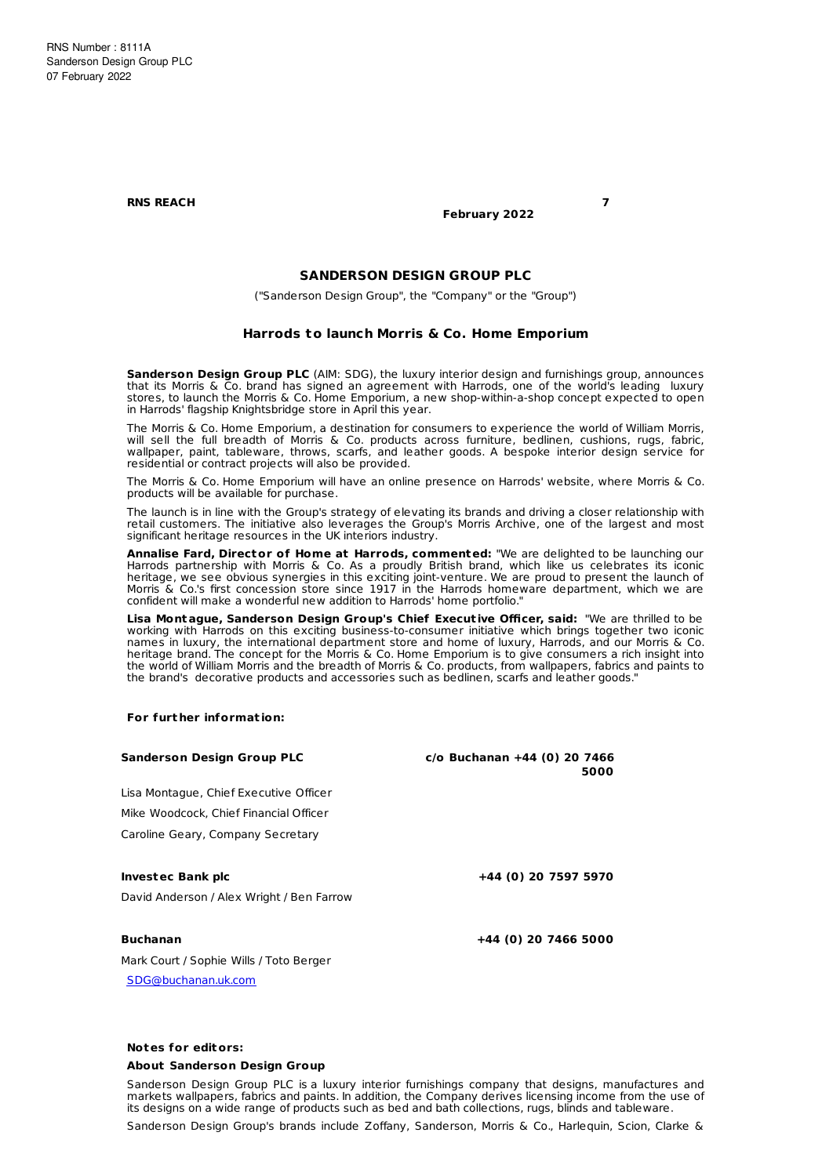**RNS REACH 7**

**February 2022**

# **SANDERSON DESIGN GROUP PLC**

("Sanderson Design Group", the "Company" or the "Group")

## **Harrods to launch Morris & Co. Home Emporium**

**Sanderson Design Group PLC** (AIM: SDG), the luxury interior design and furnishings group, announces that its Morris & Co. brand has signed an agreement with Harrods, one of the world's leading luxury stores, to launch the Morris & Co. Home Emporium, a new shop-within-a-shop concept expected to open in Harrods' flagship Knightsbridge store in April this year.

The Morris & Co. Home Emporium, a destination for consumers to experience the world of William Morris, will sell the full breadth of Morris & Co. products across furniture, bedlinen, cushions, rugs, fabric, wallpaper, paint, tableware, throws, scarfs, and leather goods. A bespoke interior design service for residential or contract projects will also be provided.

The Morris & Co. Home Emporium will have an online presence on Harrods' website, where Morris & Co. products will be available for purchase.

The launch is in line with the Group's strategy of elevating its brands and driving a closer relationship with retail customers. The initiative also leverages the Group's Morris Archive, one of the largest and most significant heritage resources in the UK interiors industry.

**Annalise Fard, Director of Home at Harrods, commented:** "We are delighted to be launching our Harrods partnership with Morris & Co. As a proudly British brand, which like us celebrates its iconic heritage, we see obvious synergies in this exciting joint-venture. We are proud to present the launch of Morris & Co.'s first concession store since 1917 in the Harrods homeware department, which we are confident will make a wonderful new addition to Harrods' home portfolio."

**Lisa Montague, Sanderson Design Group's Chief Execut ive Officer, said:** "We are thrilled to be working with Harrods on this exciting business-to-consumer initiative which brings together two iconic names in luxury, the international department store and home of luxury, Harrods, and our Morris & Co. heritage brand. The concept for the Morris & Co. Home Emporium is to give consumers a rich insight into the world of William Morris and the breadth of Morris & Co. products, from wallpapers, fabrics and paints to the brand's decorative products and accessories such as bedlinen, scarfs and leather goods."

### **For furt her informat ion:**

| Sanderson Design Group PLC                | $c$ /o Buchanan +44 (0) 20 7466<br>5000 |
|-------------------------------------------|-----------------------------------------|
| Lisa Montague, Chief Executive Officer    |                                         |
| Mike Woodcock, Chief Financial Officer    |                                         |
| Caroline Geary, Company Secretary         |                                         |
| Investec Bank plc                         | +44 (0) 20 7597 5970                    |
| David Anderson / Alex Wright / Ben Farrow |                                         |
| <b>Buchanan</b>                           | +44 (0) 20 7466 5000                    |
| Mark Court / Sophie Wills / Toto Berger   |                                         |
| SDG@buchanan.uk.com                       |                                         |
|                                           |                                         |

## **Notes for editors:**

#### **About Sanderson Design Group**

Sanderson Design Group PLC is a luxury interior furnishings company that designs, manufactures and markets wallpapers, fabrics and paints. In addition, the Company derives licensing income from the use of its designs on a wide range of products such as bed and bath collections, rugs, blinds and tableware.

Sanderson Design Group's brands include Zoffany, Sanderson, Morris & Co., Harlequin, Scion, Clarke &